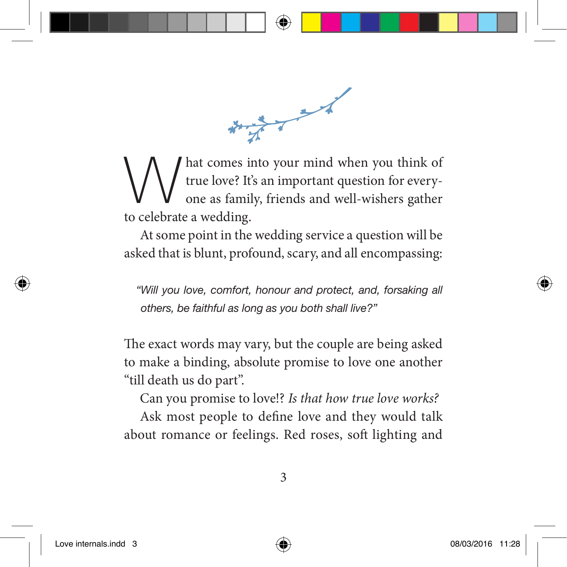$\frac{1}{\sqrt{2}}$ 

What comes into your mind when you think of<br>true love? It's an important question for every-<br>one as family, friends and well-wishers gather true love? It's an important question for everyone as family, friends and well-wishers gather to celebrate a wedding.

At some point in the wedding service a question will be asked that is blunt, profound, scary, and all encompassing:

*"Will you love, comfort, honour and protect, and, forsaking all others, be faithful as long as you both shall live?"* 

The exact words may vary, but the couple are being asked to make a binding, absolute promise to love one another "till death us do part".

Can you promise to love!? Is that how true love works?

Ask most people to define love and they would talk about romance or feelings. Red roses, soft lighting and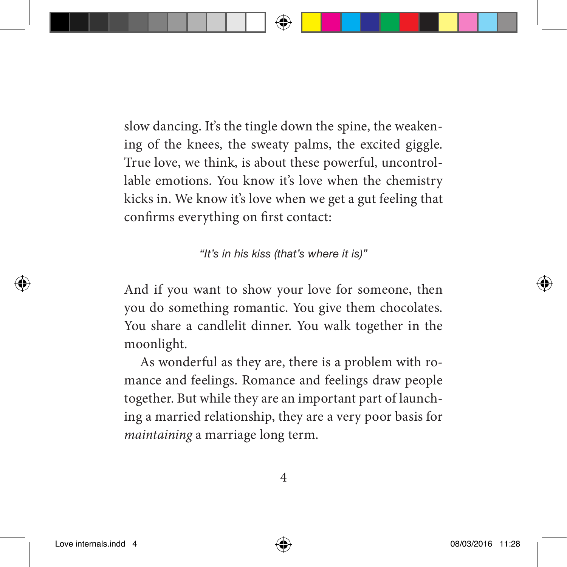slow dancing. It's the tingle down the spine, the weakening of the knees, the sweaty palms, the excited giggle. True love, we think, is about these powerful, uncontrollable emotions. You know it's love when the chemistry kicks in. We know it's love when we get a gut feeling that confirms everything on first contact:

*"It's in his kiss (that's where it is)"*

And if you want to show your love for someone, then you do something romantic. You give them chocolates. You share a candlelit dinner. You walk together in the moonlight.

As wonderful as they are, there is a problem with romance and feelings. Romance and feelings draw people together. But while they are an important part of launching a married relationship, they are a very poor basis for maintaining a marriage long term.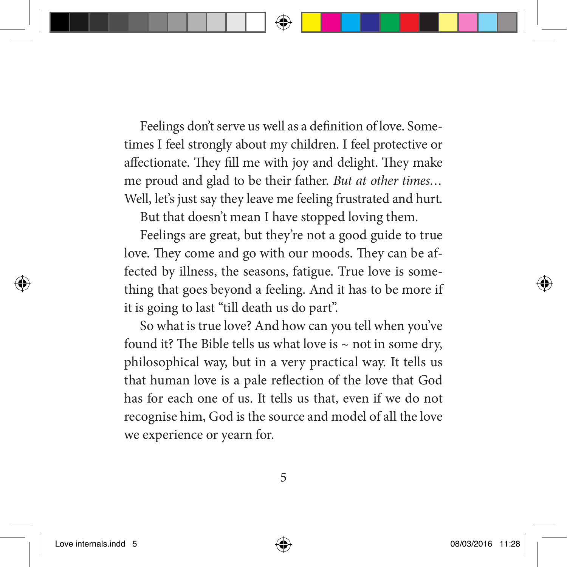Feelings don't serve us well as a definition of love. Sometimes I feel strongly about my children. I feel protective or affectionate. They fill me with joy and delight. They make me proud and glad to be their father. But at other times… Well, let's just say they leave me feeling frustrated and hurt.

But that doesn't mean I have stopped loving them.

Feelings are great, but they're not a good guide to true love. They come and go with our moods. They can be affected by illness, the seasons, fatigue. True love is something that goes beyond a feeling. And it has to be more if it is going to last "till death us do part".

So what is true love? And how can you tell when you've found it? The Bible tells us what love is  $\sim$  not in some dry, philosophical way, but in a very practical way. It tells us that human love is a pale reflection of the love that God has for each one of us. It tells us that, even if we do not recognise him, God is the source and model of all the love we experience or yearn for.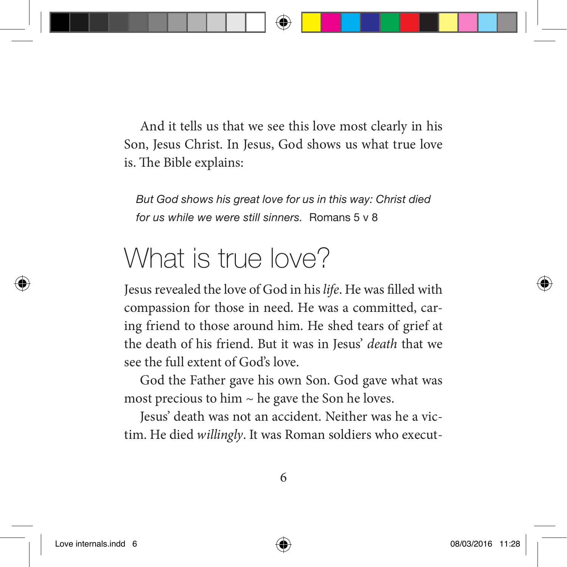And it tells us that we see this love most clearly in his Son, Jesus Christ. In Jesus, God shows us what true love is. The Bible explains:

*But God shows his great love for us in this way: Christ died for us while we were still sinners.* Romans 5 v 8

## What is true love?

Jesus revealed the love of God in his life. He was filled with compassion for those in need. He was a committed, caring friend to those around him. He shed tears of grief at the death of his friend. But it was in Jesus' death that we see the full extent of God's love.

God the Father gave his own Son. God gave what was most precious to him  $\sim$  he gave the Son he loves.

Jesus' death was not an accident. Neither was he a victim. He died willingly. It was Roman soldiers who execut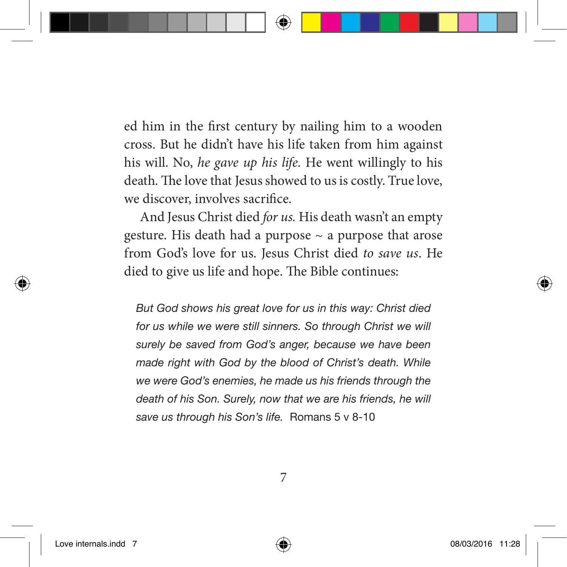ed him in the first century by nailing him to a wooden cross. But he didn't have his life taken from him against his will. No, he gave up his life. He went willingly to his death. The love that Jesus showed to us is costly. True love, we discover, involves sacrifice.

And Jesus Christ died for us. His death wasn't an empty gesture. His death had a purpose  $\sim$  a purpose that arose from God's love for us. Jesus Christ died to save us. He died to give us life and hope. The Bible continues:

*But God shows his great love for us in this way: Christ died*  for us while we were still sinners. So through Christ we will *surely be saved from God's anger, because we have been made right with God by the blood of Christ's death. While we were God's enemies, he made us his friends through the death of his Son. Surely, now that we are his friends, he will save us through his Son's life.* Romans 5 v 8-10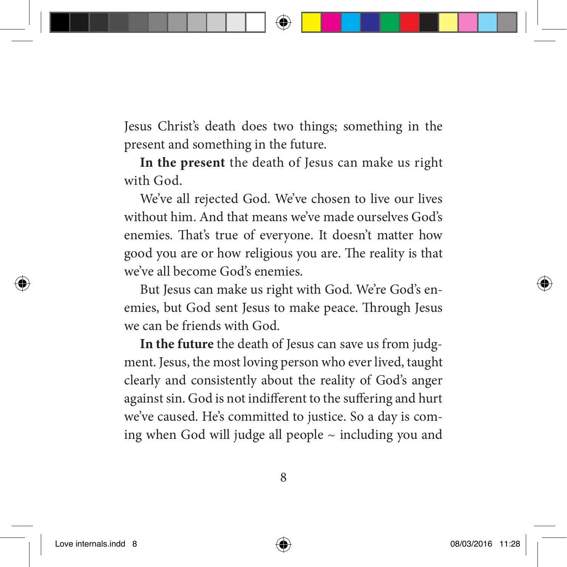Jesus Christ's death does two things; something in the present and something in the future.

**In the present** the death of Jesus can make us right with God.

We've all rejected God. We've chosen to live our lives without him. And that means we've made ourselves God's enemies. That's true of everyone. It doesn't matter how good you are or how religious you are. The reality is that we've all become God's enemies.

But Jesus can make us right with God. We're God's enemies, but God sent Jesus to make peace. Through Jesus we can be friends with God.

**In the future** the death of Jesus can save us from judgment. Jesus, the most loving person who ever lived, taught clearly and consistently about the reality of God's anger against sin. God is not indifferent to the suffering and hurt we've caused. He's committed to justice. So a day is coming when God will judge all people  $\sim$  including you and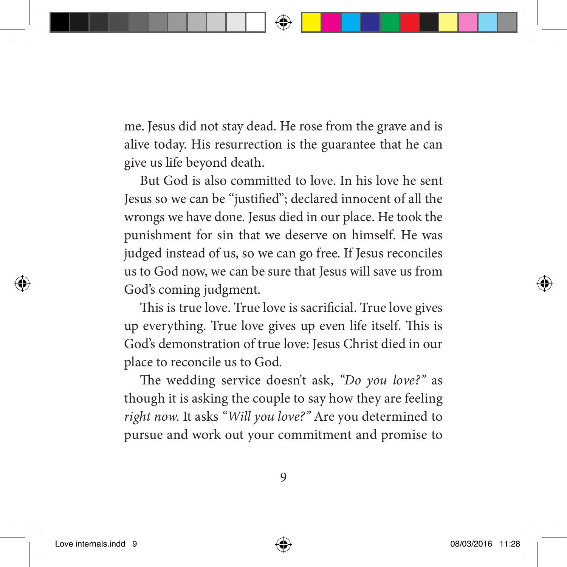me. Jesus did not stay dead. He rose from the grave and is alive today. His resurrection is the guarantee that he can give us life beyond death.

But God is also committed to love. In his love he sent Jesus so we can be "justified"; declared innocent of all the wrongs we have done. Jesus died in our place. He took the punishment for sin that we deserve on himself. He was judged instead of us, so we can go free. If Jesus reconciles us to God now, we can be sure that Jesus will save us from God's coming judgment.

This is true love. True love is sacrificial. True love gives up everything. True love gives up even life itself. This is God's demonstration of true love: Jesus Christ died in our place to reconcile us to God.

The wedding service doesn't ask, "Do you love?" as though it is asking the couple to say how they are feeling right now. It asks "Will you love?" Are you determined to pursue and work out your commitment and promise to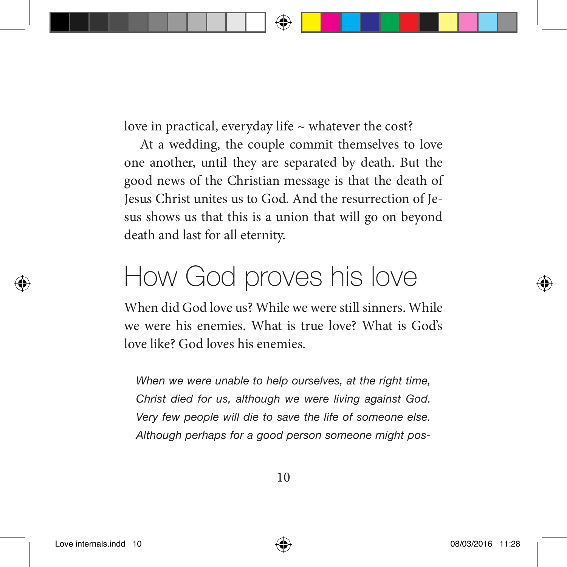love in practical, everyday life  $\sim$  whatever the cost?

At a wedding, the couple commit themselves to love one another, until they are separated by death. But the good news of the Christian message is that the death of Jesus Christ unites us to God. And the resurrection of Jesus shows us that this is a union that will go on beyond death and last for all eternity.

## How God proves his love

When did God love us? While we were still sinners. While we were his enemies. What is true love? What is God's love like? God loves his enemies.

*When we were unable to help ourselves, at the right time, Christ died for us, although we were living against God. Very few people will die to save the life of someone else. Although perhaps for a good person someone might pos-*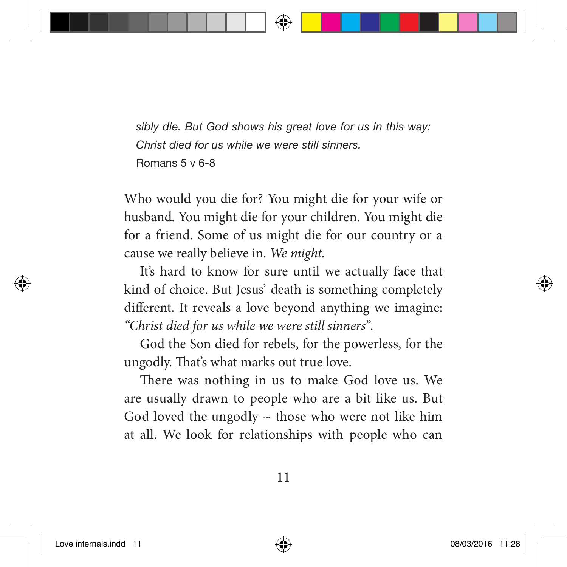*sibly die. But God shows his great love for us in this way: Christ died for us while we were still sinners.*  Romans 5 v 6-8

Who would you die for? You might die for your wife or husband. You might die for your children. You might die for a friend. Some of us might die for our country or a cause we really believe in. We might.

It's hard to know for sure until we actually face that kind of choice. But Jesus' death is something completely different. It reveals a love beyond anything we imagine: "Christ died for us while we were still sinners".

God the Son died for rebels, for the powerless, for the ungodly. That's what marks out true love.

There was nothing in us to make God love us. We are usually drawn to people who are a bit like us. But God loved the ungodly  $\sim$  those who were not like him at all. We look for relationships with people who can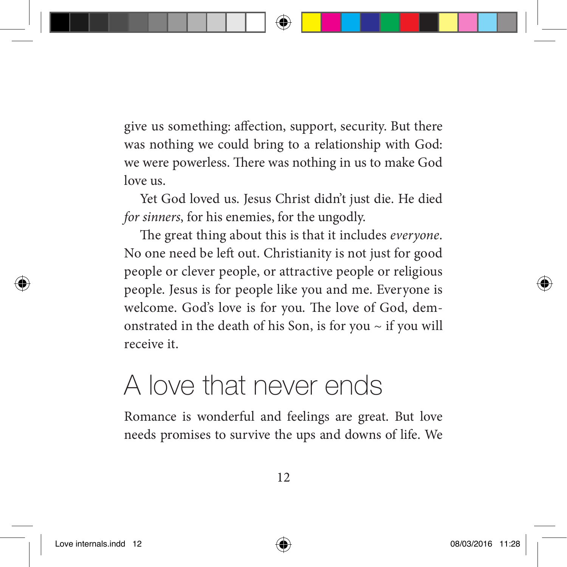give us something: affection, support, security. But there was nothing we could bring to a relationship with God: we were powerless. There was nothing in us to make God love us.

Yet God loved us. Jesus Christ didn't just die. He died for sinners, for his enemies, for the ungodly.

The great thing about this is that it includes everyone. No one need be left out. Christianity is not just for good people or clever people, or attractive people or religious people. Jesus is for people like you and me. Everyone is welcome. God's love is for you. The love of God, demonstrated in the death of his Son, is for you  $\sim$  if you will receive it.

## A love that never ends

Romance is wonderful and feelings are great. But love needs promises to survive the ups and downs of life. We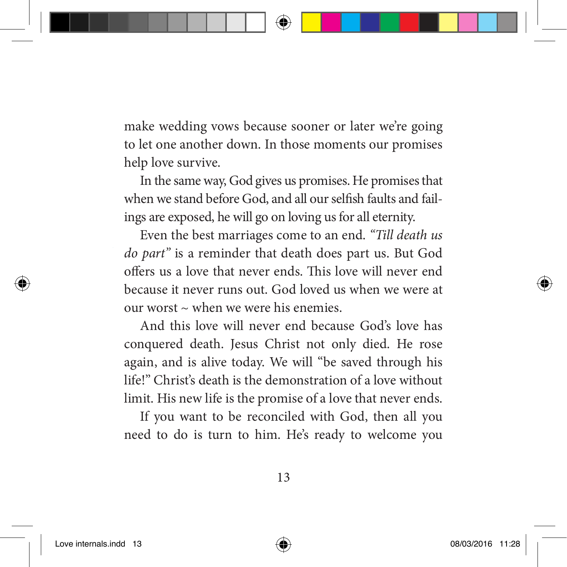make wedding vows because sooner or later we're going to let one another down. In those moments our promises help love survive.

In the same way, God gives us promises. He promises that when we stand before God, and all our selfish faults and failings are exposed, he will go on loving us for all eternity.

Even the best marriages come to an end. "Till death us do part" is a reminder that death does part us. But God offers us a love that never ends. This love will never end because it never runs out. God loved us when we were at our worst  $\sim$  when we were his enemies.

And this love will never end because God's love has conquered death. Jesus Christ not only died. He rose again, and is alive today. We will "be saved through his life!" Christ's death is the demonstration of a love without limit. His new life is the promise of a love that never ends.

If you want to be reconciled with God, then all you need to do is turn to him. He's ready to welcome you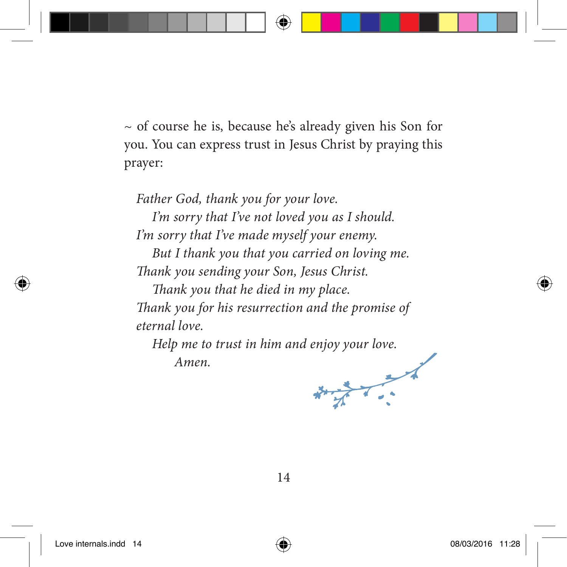$\sim$  of course he is, because he's already given his Son for you. You can express trust in Jesus Christ by praying this prayer:

Father God, thank you for your love.

I'm sorry that I've not loved you as I should. I'm sorry that I've made myself your enemy.

But I thank you that you carried on loving me. Thank you sending your Son, Jesus Christ.

Thank you that he died in my place. Thank you for his resurrection and the promise of eternal love.

Help me to trust in him and enjoy your love. Amen.